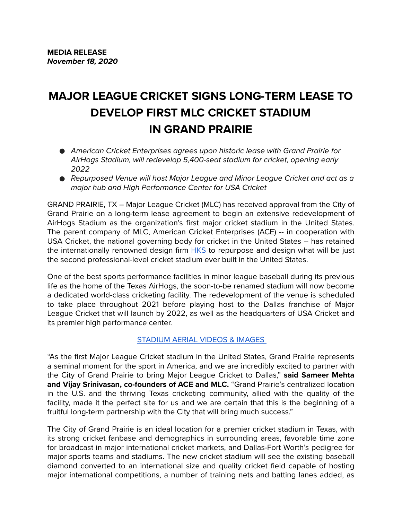# **MAJOR LEAGUE CRICKET SIGNS LONG-TERM LEASE TO DEVELOP FIRST MLC CRICKET STADIUM IN GRAND PRAIRIE**

- American Cricket Enterprises agrees upon historic lease with Grand Prairie for *AirHogs Stadium, will redevelop 5,400-seat stadium for cricket, opening early 2022*
- Repurposed Venue will host Major League and Minor League Cricket and act as a *major hub and High Performance Center for USA Cricket*

GRAND PRAIRIE, TX – Major League Cricket (MLC) has received approval from the City of Grand Prairie on a long-term lease agreement to begin an extensive redevelopment of AirHogs Stadium as the organization's first major cricket stadium in the United States. The parent company of MLC, American Cricket Enterprises (ACE) -- in cooperation with USA Cricket, the national governing body for cricket in the United States -- has retained the internationally renowned design firm [HKS](https://www.hksinc.com/) to repurpose and design what will be just the second professional-level cricket stadium ever built in the United States.

One of the best sports performance facilities in minor league baseball during its previous life as the home of the Texas AirHogs, the soon-to-be renamed stadium will now become a dedicated world-class cricketing facility. The redevelopment of the venue is scheduled to take place throughout 2021 before playing host to the Dallas franchise of Major League Cricket that will launch by 2022, as well as the headquarters of USA Cricket and its premier high performance center.

## [STADIUM AERIAL VIDEOS & IMAGES](https://49ers.sharefile.com/d-sa780c237029840b)

"As the first Major League Cricket stadium in the United States, Grand Prairie represents a seminal moment for the sport in America, and we are incredibly excited to partner with the City of Grand Prairie to bring Major League Cricket to Dallas," **said Sameer Mehta**  and Vijay Srinivasan, co-founders of ACE and MLC. "Grand Prairie's centralized location in the U.S. and the thriving Texas cricketing community, allied with the quality of the facility, made it the perfect site for us and we are certain that this is the beginning of a fruitful long-term partnership with the City that will bring much success."

The City of Grand Prairie is an ideal location for a premier cricket stadium in Texas, with its strong cricket fanbase and demographics in surrounding areas, favorable time zone for broadcast in major international cricket markets, and Dallas-Fort Worth's pedigree for major sports teams and stadiums. The new cricket stadium will see the existing baseball diamond converted to an international size and quality cricket field capable of hosting major international competitions, a number of training nets and batting lanes added, as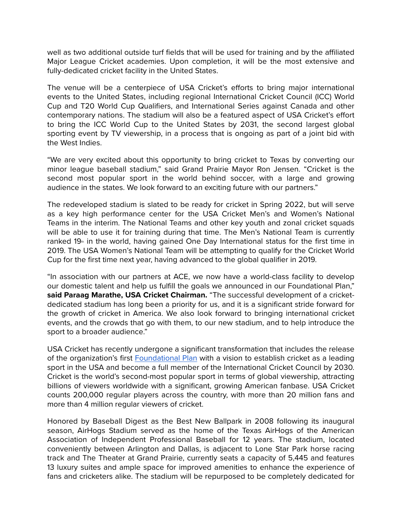well as two additional outside turf fields that will be used for training and by the affiliated Major League Cricket academies. Upon completion, it will be the most extensive and fully-dedicated cricket facility in the United States.

The venue will be a centerpiece of USA Cricket's efforts to bring major international events to the United States, including regional International Cricket Council (ICC) World Cup and T20 World Cup Qualifiers, and International Series against Canada and other contemporary nations. The stadium will also be a featured aspect of USA Cricket's effort to bring the ICC World Cup to the United States by 2031, the second largest global sporting event by TV viewership, in a process that is ongoing as part of a joint bid with the West Indies.

"We are very excited about this opportunity to bring cricket to Texas by converting our minor league baseball stadium," said Grand Prairie Mayor Ron Jensen. "Cricket is the second most popular sport in the world behind soccer, with a large and growing audience in the states. We look forward to an exciting future with our partners."

The redeveloped stadium is slated to be ready for cricket in Spring 2022, but will serve as a key high performance center for the USA Cricket Men's and Women's National Teams in the interim. The National Teams and other key youth and zonal cricket squads will be able to use it for training during that time. The Men's National Team is currently ranked 19<sup>th</sup> in the world, having gained One Day International status for the first time in 2019. The USA Women's National Team will be attempting to qualify for the Cricket World Cup for the first time next year, having advanced to the global qualifier in 2019.

"In association with our partners at ACE, we now have a world-class facility to develop our domestic talent and help us fulfill the goals we announced in our Foundational Plan," **said Paraag Marathe, USA Cricket Chairman.** "The successful development of a cricketdedicated stadium has long been a priority for us, and it is a significant stride forward for the growth of cricket in America. We also look forward to bringing international cricket events, and the crowds that go with them, to our new stadium, and to help introduce the sport to a broader audience."

USA Cricket has recently undergone a significant transformation that includes the release of the organization's first [Foundational Plan](https://www.usacricket.org/media-release/usa-cricket-launches-foundational-plan/) with a vision to establish cricket as a leading sport in the USA and become a full member of the International Cricket Council by 2030. Cricket is the world's second-most popular sport in terms of global viewership, attracting billions of viewers worldwide with a significant, growing American fanbase. USA Cricket counts 200,000 regular players across the country, with more than 20 million fans and more than 4 million regular viewers of cricket.

Honored by Baseball Digest as the Best New Ballpark in 2008 following its inaugural season, AirHogs Stadium served as the home of the Texas AirHogs of the American Association of Independent Professional Baseball for 12 years. The stadium, located conveniently between Arlington and Dallas, is adjacent to Lone Star Park horse racing track and The Theater at Grand Prairie, currently seats a capacity of 5,445 and features 13 luxury suites and ample space for improved amenities to enhance the experience of fans and cricketers alike. The stadium will be repurposed to be completely dedicated for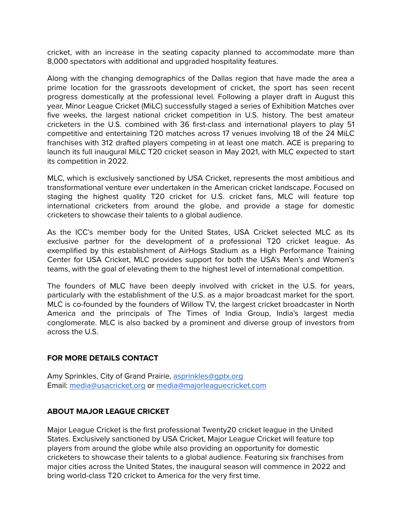cricket, with an increase in the seating capacity planned to accommodate more than 8,000 spectators with additional and upgraded hospitality features.

Along with the changing demographics of the Dallas region that have made the area a prime location for the grassroots development of cricket, the sport has seen recent progress domestically at the professional level. Following a player draft in August this year, Minor League Cricket (MiLC) successfully staged a series of Exhibition Matches over five weeks, the largest national cricket competition in U.S. history. The best amateur cricketers in the U.S. combined with 36 first-class and international players to play 51 competitive and entertaining T20 matches across 17 venues involving 18 of the 24 MiLC franchises with 312 drafted players competing in at least one match. ACE is preparing to launch its full inaugural MiLC T20 cricket season in May 2021, with MLC expected to start its competition in 2022.

MLC, which is exclusively sanctioned by USA Cricket, represents the most ambitious and transformational venture ever undertaken in the American cricket landscape. Focused on staging the highest quality T20 cricket for U.S. cricket fans, MLC will feature top international cricketers from around the globe, and provide a stage for domestic cricketers to showcase their talents to a global audience.

As the ICC's member body for the United States, USA Cricket selected MLC as its exclusive partner for the development of a professional T20 cricket league. As exemplified by this establishment of AirHogs Stadium as a High Performance Training Center for USA Cricket, MLC provides support for both the USA's Men's and Women's teams, with the goal of elevating them to the highest level of international competition.

The founders of MLC have been deeply involved with cricket in the U.S. for years, particularly with the establishment of the U.S. as a major broadcast market for the sport. MLC is co-founded by the founders of Willow TV, the largest cricket broadcaster in North America and the principals of The Times of India Group, India's largest media conglomerate. MLC is also backed by a prominent and diverse group of investors from across the U.S.

#### **FOR MORE DETAILS CONTACT**

Amy Sprinkles, City of Grand Prairie, [asprinkles@gptx.org](mailto:asprinkles@gptx.org) Email: [media@usacricket.org](mailto:media@usacricket.org) or [media@majorleaguecricket.com](mailto:media@majorleaguecricket.com)

## **ABOUT MAJOR LEAGUE CRICKET**

Major League Cricket is the first professional Twenty20 cricket league in the United States. Exclusively sanctioned by USA Cricket, Major League Cricket will feature top players from around the globe while also providing an opportunity for domestic cricketers to showcase their talents to a global audience. Featuring six franchises from major cities across the United States, the inaugural season will commence in 2022 and bring world-class T20 cricket to America for the very first time.